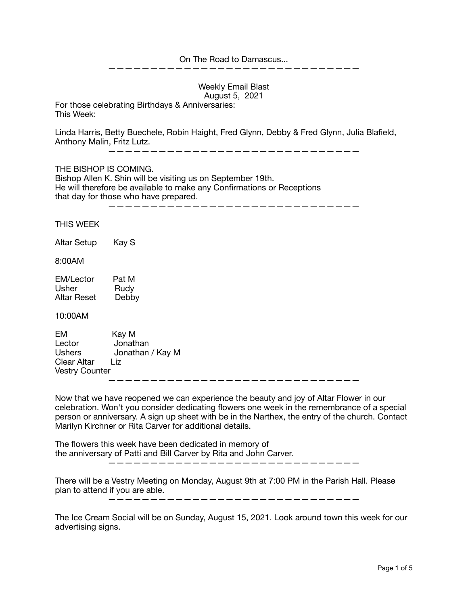## On The Road to Damascus...

——————————————————————————————

Weekly Email Blast August 5, 2021

For those celebrating Birthdays & Anniversaries: This Week:

Linda Harris, Betty Buechele, Robin Haight, Fred Glynn, Debby & Fred Glynn, Julia Blafield, Anthony Malin, Fritz Lutz.

——————————————————————————————

THE BISHOP IS COMING.

Bishop Allen K. Shin will be visiting us on September 19th. He will therefore be available to make any Confirmations or Receptions that day for those who have prepared.

——————————————————————————————

THIS WEEK

Altar Setup Kay S

8:00AM

| EM/Lector   | Pat M |
|-------------|-------|
| Usher       | Rudy  |
| Altar Reset | Debby |

10:00AM

EM Kay M Lector Jonathan Ushers Jonathan / Kay M Clear Altar Liz Vestry Counter ——————————————————————————————

Now that we have reopened we can experience the beauty and joy of Altar Flower in our celebration. Won't you consider dedicating flowers one week in the remembrance of a special person or anniversary. A sign up sheet with be in the Narthex, the entry of the church. Contact Marilyn Kirchner or Rita Carver for additional details.

The flowers this week have been dedicated in memory of the anniversary of Patti and Bill Carver by Rita and John Carver. ——————————————————————————————

There will be a Vestry Meeting on Monday, August 9th at 7:00 PM in the Parish Hall. Please plan to attend if you are able.

——————————————————————————————

The Ice Cream Social will be on Sunday, August 15, 2021. Look around town this week for our advertising signs.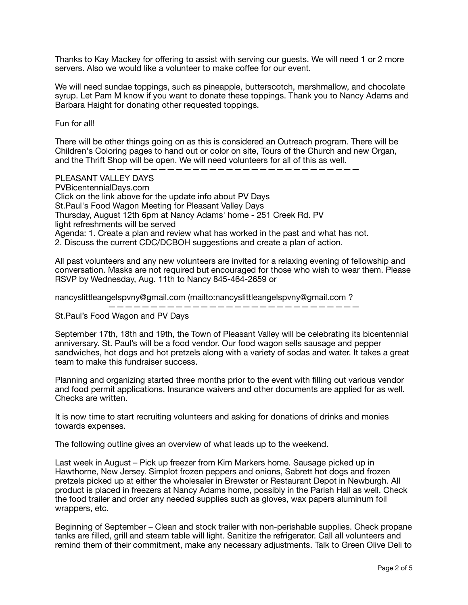Thanks to Kay Mackey for offering to assist with serving our guests. We will need 1 or 2 more servers. Also we would like a volunteer to make coffee for our event.

We will need sundae toppings, such as pineapple, butterscotch, marshmallow, and chocolate syrup. Let Pam M know if you want to donate these toppings. Thank you to Nancy Adams and Barbara Haight for donating other requested toppings.

Fun for all!

There will be other things going on as this is considered an Outreach program. There will be Children's Coloring pages to hand out or color on site, Tours of the Church and new Organ, and the Thrift Shop will be open. We will need volunteers for all of this as well.

——————————————————————————————

PLEASANT VALLEY DAYS PVBicentennialDays.com Click on the link above for the update info about PV Days St.Paul's Food Wagon Meeting for Pleasant Valley Days Thursday, August 12th 6pm at Nancy Adams' home - 251 Creek Rd. PV light refreshments will be served Agenda: 1. Create a plan and review what has worked in the past and what has not. 2. Discuss the current CDC/DCBOH suggestions and create a plan of action.

All past volunteers and any new volunteers are invited for a relaxing evening of fellowship and conversation. Masks are not required but encouraged for those who wish to wear them. Please RSVP by Wednesday, Aug. 11th to Nancy 845-464-2659 or

nancyslittleangelspvny@gmail.com (mailto:nancyslittleangelspvny@gmail.com ?

——————————————————————————————

St.Paul's Food Wagon and PV Days

September 17th, 18th and 19th, the Town of Pleasant Valley will be celebrating its bicentennial anniversary. St. Paul's will be a food vendor. Our food wagon sells sausage and pepper sandwiches, hot dogs and hot pretzels along with a variety of sodas and water. It takes a great team to make this fundraiser success.

Planning and organizing started three months prior to the event with filling out various vendor and food permit applications. Insurance waivers and other documents are applied for as well. Checks are written.

It is now time to start recruiting volunteers and asking for donations of drinks and monies towards expenses.

The following outline gives an overview of what leads up to the weekend.

Last week in August – Pick up freezer from Kim Markers home. Sausage picked up in Hawthorne, New Jersey. Simplot frozen peppers and onions, Sabrett hot dogs and frozen pretzels picked up at either the wholesaler in Brewster or Restaurant Depot in Newburgh. All product is placed in freezers at Nancy Adams home, possibly in the Parish Hall as well. Check the food trailer and order any needed supplies such as gloves, wax papers aluminum foil wrappers, etc.

Beginning of September – Clean and stock trailer with non-perishable supplies. Check propane tanks are filled, grill and steam table will light. Sanitize the refrigerator. Call all volunteers and remind them of their commitment, make any necessary adjustments. Talk to Green Olive Deli to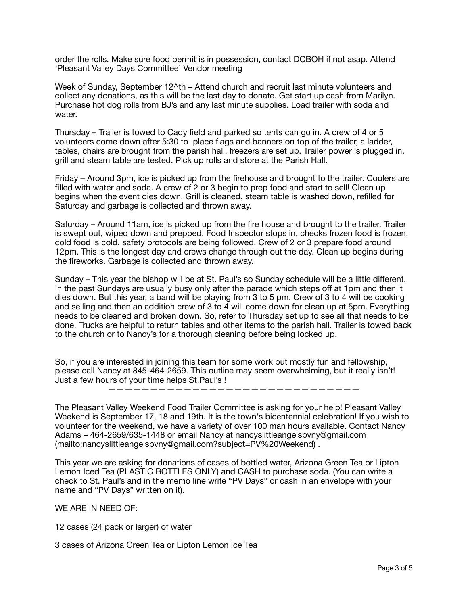order the rolls. Make sure food permit is in possession, contact DCBOH if not asap. Attend 'Pleasant Valley Days Committee' Vendor meeting

Week of Sunday, September 12^th – Attend church and recruit last minute volunteers and collect any donations, as this will be the last day to donate. Get start up cash from Marilyn. Purchase hot dog rolls from BJ's and any last minute supplies. Load trailer with soda and water.

Thursday – Trailer is towed to Cady field and parked so tents can go in. A crew of 4 or 5 volunteers come down after 5:30 to place flags and banners on top of the trailer, a ladder, tables, chairs are brought from the parish hall, freezers are set up. Trailer power is plugged in, grill and steam table are tested. Pick up rolls and store at the Parish Hall.

Friday – Around 3pm, ice is picked up from the firehouse and brought to the trailer. Coolers are filled with water and soda. A crew of 2 or 3 begin to prep food and start to sell! Clean up begins when the event dies down. Grill is cleaned, steam table is washed down, refilled for Saturday and garbage is collected and thrown away.

Saturday – Around 11am, ice is picked up from the fire house and brought to the trailer. Trailer is swept out, wiped down and prepped. Food Inspector stops in, checks frozen food is frozen, cold food is cold, safety protocols are being followed. Crew of 2 or 3 prepare food around 12pm. This is the longest day and crews change through out the day. Clean up begins during the fireworks. Garbage is collected and thrown away.

Sunday – This year the bishop will be at St. Paul's so Sunday schedule will be a little different. In the past Sundays are usually busy only after the parade which steps off at 1pm and then it dies down. But this year, a band will be playing from 3 to 5 pm. Crew of 3 to 4 will be cooking and selling and then an addition crew of 3 to 4 will come down for clean up at 5pm. Everything needs to be cleaned and broken down. So, refer to Thursday set up to see all that needs to be done. Trucks are helpful to return tables and other items to the parish hall. Trailer is towed back to the church or to Nancy's for a thorough cleaning before being locked up.

So, if you are interested in joining this team for some work but mostly fun and fellowship, please call Nancy at 845-464-2659. This outline may seem overwhelming, but it really isn't! Just a few hours of your time helps St.Paul's !

——————————————————————————————

The Pleasant Valley Weekend Food Trailer Committee is asking for your help! Pleasant Valley Weekend is September 17, 18 and 19th. It is the town's bicentennial celebration! If you wish to volunteer for the weekend, we have a variety of over 100 man hours available. Contact Nancy Adams – 464-2659/635-1448 or email Nancy at nancyslittleangelspvny@gmail.com (mailto:nancyslittleangelspvny@gmail.com?subject=PV%20Weekend) .

This year we are asking for donations of cases of bottled water, Arizona Green Tea or Lipton Lemon Iced Tea (PLASTIC BOTTLES ONLY) and CASH to purchase soda. (You can write a check to St. Paul's and in the memo line write "PV Days" or cash in an envelope with your name and "PV Days" written on it).

WE ARE IN NEED OF:

12 cases (24 pack or larger) of water

3 cases of Arizona Green Tea or Lipton Lemon Ice Tea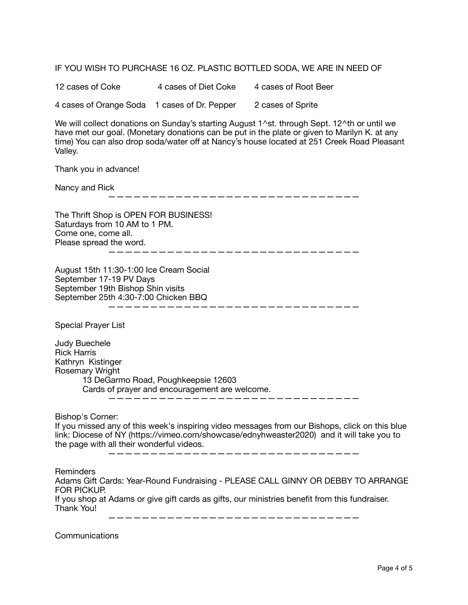IF YOU WISH TO PURCHASE 16 OZ. PLASTIC BOTTLED SODA, WE ARE IN NEED OF

12 cases of Coke 4 cases of Diet Coke 4 cases of Root Beer 4 cases of Orange Soda 1 cases of Dr. Pepper 2 cases of Sprite

We will collect donations on Sunday's starting August 1^st. through Sept. 12^th or until we have met our goal. (Monetary donations can be put in the plate or given to Marilyn K. at any time) You can also drop soda/water off at Nancy's house located at 251 Creek Road Pleasant Valley.

Thank you in advance!

Nancy and Rick

——————————————————————————————

The Thrift Shop is OPEN FOR BUSINESS! Saturdays from 10 AM to 1 PM. Come one, come all. Please spread the word. ——————————————————————————————

August 15th 11:30-1:00 Ice Cream Social September 17-19 PV Days September 19th Bishop Shin visits September 25th 4:30-7:00 Chicken BBQ ——————————————————————————————

Special Prayer List

Judy Buechele Rick Harris Kathryn Kistinger Rosemary Wright 13 DeGarmo Road, Poughkeepsie 12603 Cards of prayer and encouragement are welcome.

——————————————————————————————

Bishop's Corner:

If you missed any of this week's inspiring video messages from our Bishops, click on this blue link: Diocese of NY (https://vimeo.com/showcase/ednyhweaster2020) and it will take you to the page with all their wonderful videos.

——————————————————————————————

Reminders

Adams Gift Cards: Year-Round Fundraising - PLEASE CALL GINNY OR DEBBY TO ARRANGE FOR PICKUP.

If you shop at Adams or give gift cards as gifts, our ministries benefit from this fundraiser. Thank You!

——————————————————————————————

**Communications**